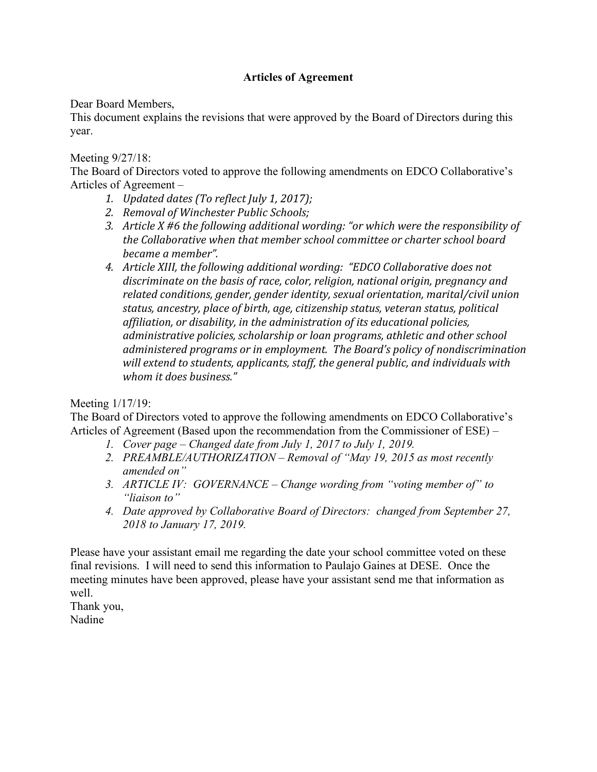# **Articles of Agreement**

Dear Board Members,

This document explains the revisions that were approved by the Board of Directors during this year.

Meeting 9/27/18:

The Board of Directors voted to approve the following amendments on EDCO Collaborative's Articles of Agreement –

- *1. Updated dates (To reflect July 1, 2017);*
- 2. Removal of Winchester Public Schools;
- 3. Article X #6 the following additional wording: "or which were the responsibility of *the Collaborative when that member school committee or charter school board became a member".*
- 4. Article XIII, the following additional wording: "EDCO Collaborative does not discriminate on the basis of race, color, religion, national origin, pregnancy and related conditions, gender, gender identity, sexual orientation, marital/civil union status, ancestry, place of birth, age, citizenship status, veteran status, political affiliation, or disability, in the administration of its educational policies, *administrative policies, scholarship or loan programs, athletic and other school ddministered programs or in employment. The Board's policy of nondiscrimination* will extend to students, applicants, staff, the general public, and individuals with *whom it does business."*

Meeting 1/17/19:

The Board of Directors voted to approve the following amendments on EDCO Collaborative's Articles of Agreement (Based upon the recommendation from the Commissioner of ESE) –

- *1. Cover page – Changed date from July 1, 2017 to July 1, 2019.*
- *2. PREAMBLE/AUTHORIZATION – Removal of "May 19, 2015 as most recently amended on"*
- *3. ARTICLE IV: GOVERNANCE – Change wording from "voting member of" to "liaison to"*
- *4. Date approved by Collaborative Board of Directors: changed from September 27, 2018 to January 17, 2019.*

Please have your assistant email me regarding the date your school committee voted on these final revisions. I will need to send this information to Paulajo Gaines at DESE. Once the meeting minutes have been approved, please have your assistant send me that information as well.

Thank you, Nadine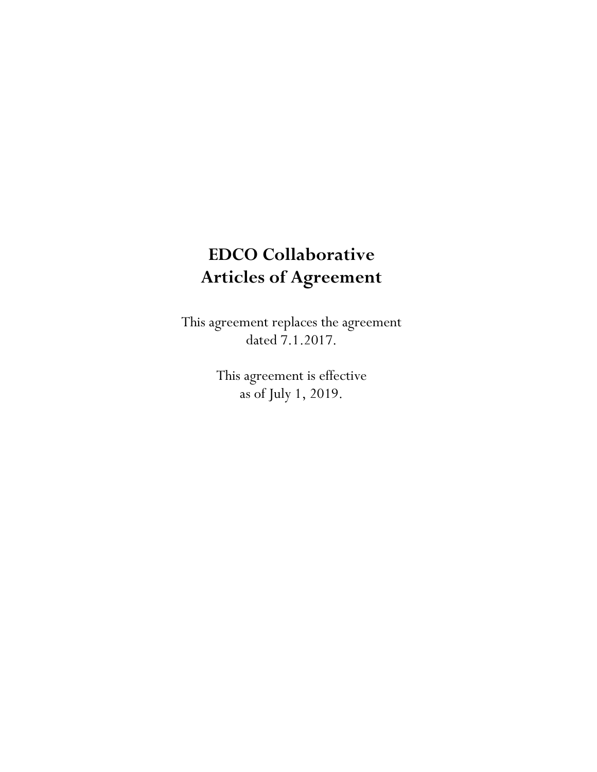# **EDCO Collaborative Articles of Agreement**

This agreement replaces the agreement dated 7.1.2017.

> This agreement is effective as of July 1, 2019.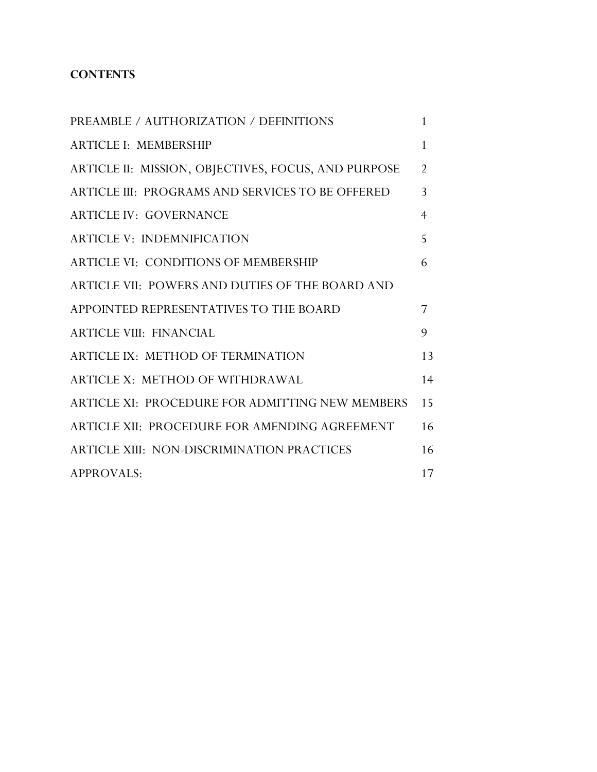# **CONTENTS**

| PREAMBLE / AUTHORIZATION / DEFINITIONS              | $\mathbf{1}$   |
|-----------------------------------------------------|----------------|
| <b>ARTICLE I: MEMBERSHIP</b>                        | 1              |
| ARTICLE II: MISSION, OBJECTIVES, FOCUS, AND PURPOSE | $\overline{2}$ |
| ARTICLE III: PROGRAMS AND SERVICES TO BE OFFERED    | 3              |
| <b>ARTICLE IV: GOVERNANCE</b>                       | $\overline{4}$ |
| <b>ARTICLE V: INDEMNIFICATION</b>                   | 5              |
| <b>ARTICLE VI: CONDITIONS OF MEMBERSHIP</b>         | 6              |
| ARTICLE VII: POWERS AND DUTIES OF THE BOARD AND     |                |
| APPOINTED REPRESENTATIVES TO THE BOARD              | 7              |
| <b>ARTICLE VIII: FINANCIAL</b>                      | 9              |
| ARTICLE IX: METHOD OF TERMINATION                   | 13             |
| ARTICLE X: METHOD OF WITHDRAWAL                     | 14             |
| ARTICLE XI: PROCEDURE FOR ADMITTING NEW MEMBERS     | 15             |
| ARTICLE XII: PROCEDURE FOR AMENDING AGREEMENT       | 16             |
| ARTICLE XIII: NON-DISCRIMINATION PRACTICES          | 16             |
| <b>APPROVALS:</b>                                   | 17             |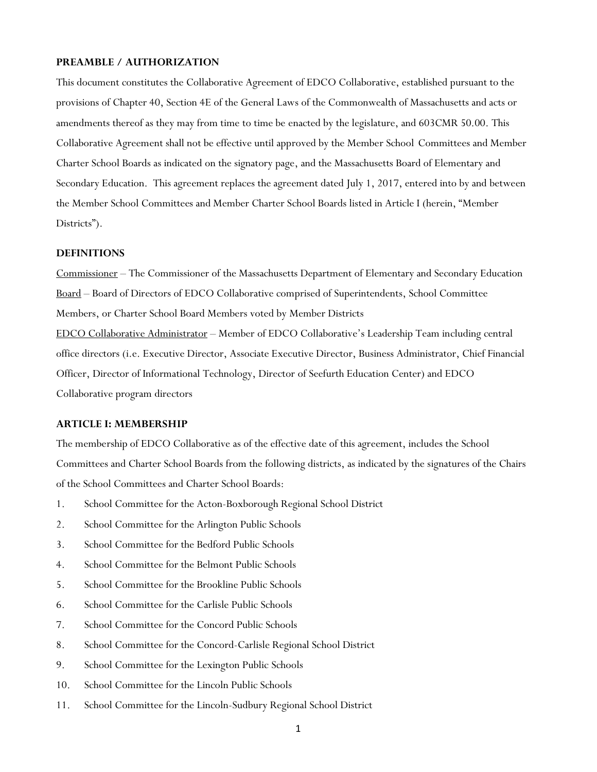#### **PREAMBLE / AUTHORIZATION**

This document constitutes the Collaborative Agreement of EDCO Collaborative, established pursuant to the provisions of Chapter 40, Section 4E of the General Laws of the Commonwealth of Massachusetts and acts or amendments thereof as they may from time to time be enacted by the legislature, and 603CMR 50.00. This Collaborative Agreement shall not be effective until approved by the Member School Committees and Member Charter School Boards as indicated on the signatory page, and the Massachusetts Board of Elementary and Secondary Education. This agreement replaces the agreement dated July 1, 2017, entered into by and between the Member School Committees and Member Charter School Boards listed in Article I (herein, "Member Districts").

#### **DEFINITIONS**

Commissioner – The Commissioner of the Massachusetts Department of Elementary and Secondary Education Board – Board of Directors of EDCO Collaborative comprised of Superintendents, School Committee Members, or Charter School Board Members voted by Member Districts EDCO Collaborative Administrator – Member of EDCO Collaborative's Leadership Team including central office directors (i.e. Executive Director, Associate Executive Director, Business Administrator, Chief Financial Officer, Director of Informational Technology, Director of Seefurth Education Center) and EDCO Collaborative program directors

# **ARTICLE I: MEMBERSHIP**

The membership of EDCO Collaborative as of the effective date of this agreement, includes the School Committees and Charter School Boards from the following districts, as indicated by the signatures of the Chairs of the School Committees and Charter School Boards:

- 1. School Committee for the Acton-Boxborough Regional School District
- 2. School Committee for the Arlington Public Schools
- 3. School Committee for the Bedford Public Schools
- 4. School Committee for the Belmont Public Schools
- 5. School Committee for the Brookline Public Schools
- 6. School Committee for the Carlisle Public Schools
- 7. School Committee for the Concord Public Schools
- 8. School Committee for the Concord-Carlisle Regional School District
- 9. School Committee for the Lexington Public Schools
- 10. School Committee for the Lincoln Public Schools
- 11. School Committee for the Lincoln-Sudbury Regional School District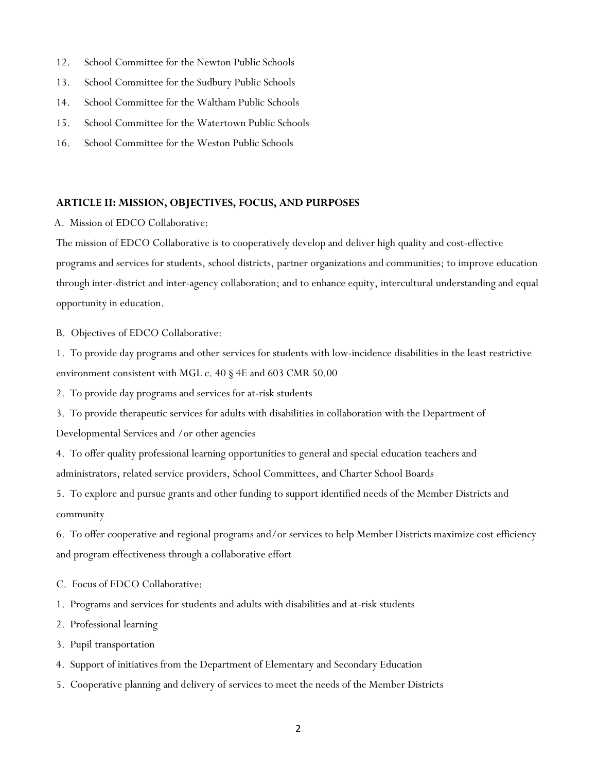- 12. School Committee for the Newton Public Schools
- 13. School Committee for the Sudbury Public Schools
- 14. School Committee for the Waltham Public Schools
- 15. School Committee for the Watertown Public Schools
- 16. School Committee for the Weston Public Schools

### **ARTICLE II: MISSION, OBJECTIVES, FOCUS, AND PURPOSES**

A. Mission of EDCO Collaborative:

The mission of EDCO Collaborative is to cooperatively develop and deliver high quality and cost-effective programs and services for students, school districts, partner organizations and communities; to improve education through inter-district and inter-agency collaboration; and to enhance equity, intercultural understanding and equal opportunity in education.

B. Objectives of EDCO Collaborative:

1. To provide day programs and other services for students with low-incidence disabilities in the least restrictive environment consistent with MGL c. 40 § 4E and 603 CMR 50.00

2. To provide day programs and services for at-risk students

3. To provide therapeutic services for adults with disabilities in collaboration with the Department of Developmental Services and /or other agencies

4. To offer quality professional learning opportunities to general and special education teachers and administrators, related service providers, School Committees, and Charter School Boards

5. To explore and pursue grants and other funding to support identified needs of the Member Districts and community

6. To offer cooperative and regional programs and/or services to help Member Districts maximize cost efficiency and program effectiveness through a collaborative effort

- C. Focus of EDCO Collaborative:
- 1. Programs and services for students and adults with disabilities and at-risk students
- 2. Professional learning
- 3. Pupil transportation
- 4. Support of initiatives from the Department of Elementary and Secondary Education
- 5. Cooperative planning and delivery of services to meet the needs of the Member Districts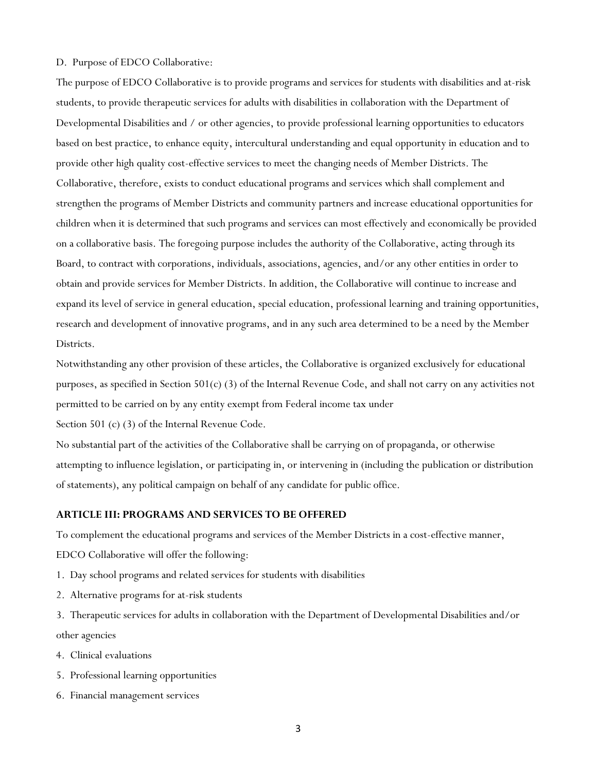#### D. Purpose of EDCO Collaborative:

The purpose of EDCO Collaborative is to provide programs and services for students with disabilities and at-risk students, to provide therapeutic services for adults with disabilities in collaboration with the Department of Developmental Disabilities and / or other agencies, to provide professional learning opportunities to educators based on best practice, to enhance equity, intercultural understanding and equal opportunity in education and to provide other high quality cost-effective services to meet the changing needs of Member Districts. The Collaborative, therefore, exists to conduct educational programs and services which shall complement and strengthen the programs of Member Districts and community partners and increase educational opportunities for children when it is determined that such programs and services can most effectively and economically be provided on a collaborative basis. The foregoing purpose includes the authority of the Collaborative, acting through its Board, to contract with corporations, individuals, associations, agencies, and/or any other entities in order to obtain and provide services for Member Districts. In addition, the Collaborative will continue to increase and expand its level of service in general education, special education, professional learning and training opportunities, research and development of innovative programs, and in any such area determined to be a need by the Member Districts.

Notwithstanding any other provision of these articles, the Collaborative is organized exclusively for educational purposes, as specified in Section 501(c) (3) of the Internal Revenue Code, and shall not carry on any activities not permitted to be carried on by any entity exempt from Federal income tax under

Section 501 (c) (3) of the Internal Revenue Code.

No substantial part of the activities of the Collaborative shall be carrying on of propaganda, or otherwise attempting to influence legislation, or participating in, or intervening in (including the publication or distribution of statements), any political campaign on behalf of any candidate for public office.

# **ARTICLE III: PROGRAMS AND SERVICES TO BE OFFERED**

To complement the educational programs and services of the Member Districts in a cost-effective manner, EDCO Collaborative will offer the following:

- 1. Day school programs and related services for students with disabilities
- 2. Alternative programs for at-risk students

3. Therapeutic services for adults in collaboration with the Department of Developmental Disabilities and/or other agencies

- 4. Clinical evaluations
- 5. Professional learning opportunities
- 6. Financial management services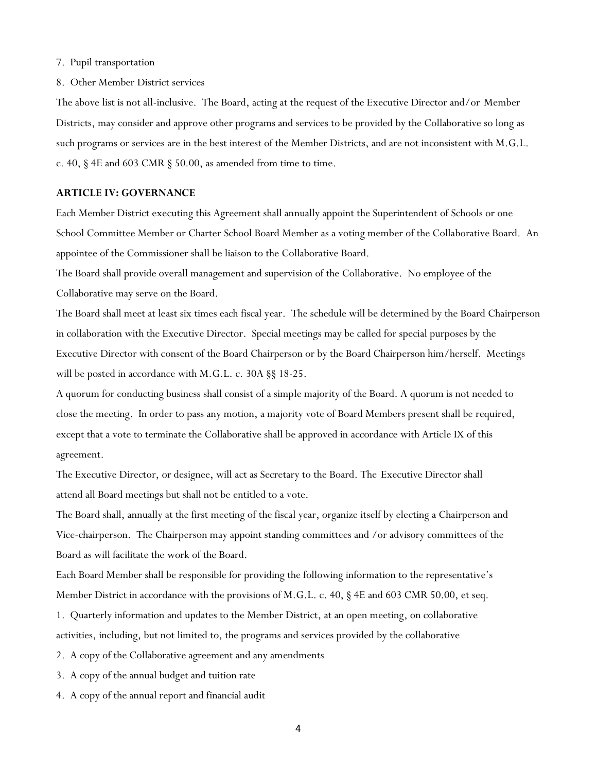#### 7. Pupil transportation

#### 8. Other Member District services

The above list is not all-inclusive. The Board, acting at the request of the Executive Director and/or Member Districts, may consider and approve other programs and services to be provided by the Collaborative so long as such programs or services are in the best interest of the Member Districts, and are not inconsistent with M.G.L. c. 40, § 4E and 603 CMR § 50.00, as amended from time to time.

# **ARTICLE IV: GOVERNANCE**

Each Member District executing this Agreement shall annually appoint the Superintendent of Schools or one School Committee Member or Charter School Board Member as a voting member of the Collaborative Board. An appointee of the Commissioner shall be liaison to the Collaborative Board.

The Board shall provide overall management and supervision of the Collaborative. No employee of the Collaborative may serve on the Board.

The Board shall meet at least six times each fiscal year. The schedule will be determined by the Board Chairperson in collaboration with the Executive Director. Special meetings may be called for special purposes by the Executive Director with consent of the Board Chairperson or by the Board Chairperson him/herself. Meetings will be posted in accordance with M.G.L. c. 30A §§ 18-25.

A quorum for conducting business shall consist of a simple majority of the Board. A quorum is not needed to close the meeting. In order to pass any motion, a majority vote of Board Members present shall be required, except that a vote to terminate the Collaborative shall be approved in accordance with Article IX of this agreement.

The Executive Director, or designee, will act as Secretary to the Board. The Executive Director shall attend all Board meetings but shall not be entitled to a vote.

The Board shall, annually at the first meeting of the fiscal year, organize itself by electing a Chairperson and Vice-chairperson. The Chairperson may appoint standing committees and /or advisory committees of the Board as will facilitate the work of the Board.

Each Board Member shall be responsible for providing the following information to the representative's Member District in accordance with the provisions of M.G.L. c. 40, § 4E and 603 CMR 50.00, et seq.

1. Quarterly information and updates to the Member District, at an open meeting, on collaborative activities, including, but not limited to, the programs and services provided by the collaborative

- 2. A copy of the Collaborative agreement and any amendments
- 3. A copy of the annual budget and tuition rate
- 4. A copy of the annual report and financial audit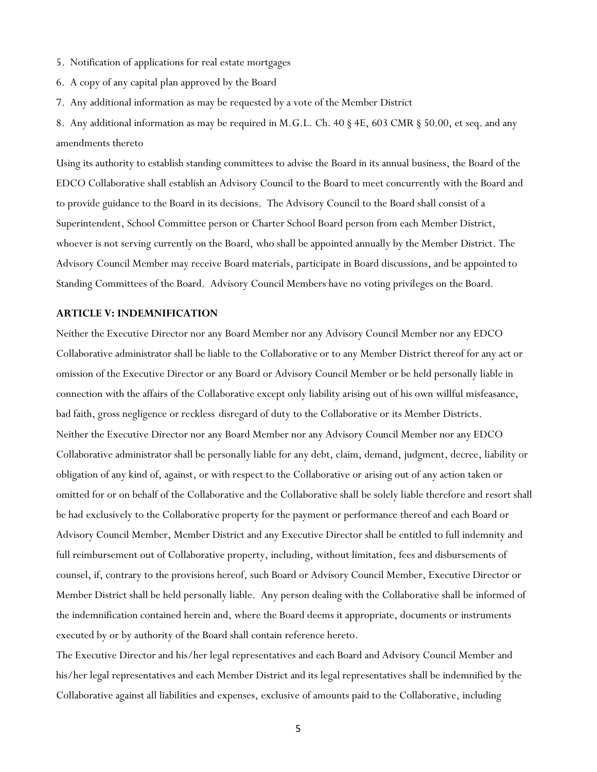- 5. Notification of applications for real estate mortgages
- 6. A copy of any capital plan approved by the Board
- 7. Any additional information as may be requested by a vote of the Member District
- 8. Any additional information as may be required in M.G.L. Ch. 40 § 4E, 603 CMR § 50.00, et seq. and any amendments thereto

Using its authority to establish standing committees to advise the Board in its annual business, the Board of the EDCO Collaborative shall establish an Advisory Council to the Board to meet concurrently with the Board and to provide guidance to the Board in its decisions. The Advisory Council to the Board shall consist of a Superintendent, School Committee person or Charter School Board person from each Member District, whoever is not serving currently on the Board, who shall be appointed annually by the Member District. The Advisory Council Member may receive Board materials, participate in Board discussions, and be appointed to Standing Committees of the Board. Advisory Council Members have no voting privileges on the Board.

#### **ARTICLE V: INDEMNIFICATION**

Neither the Executive Director nor any Board Member nor any Advisory Council Member nor any EDCO Collaborative administrator shall be liable to the Collaborative or to any Member District thereof for any act or omission of the Executive Director or any Board or Advisory Council Member or be held personally liable in connection with the affairs of the Collaborative except only liability arising out of his own willful misfeasance, bad faith, gross negligence or reckless disregard of duty to the Collaborative or its Member Districts. Neither the Executive Director nor any Board Member nor any Advisory Council Member nor any EDCO Collaborative administrator shall be personally liable for any debt, claim, demand, judgment, decree, liability or obligation of any kind of, against, or with respect to the Collaborative or arising out of any action taken or omitted for or on behalf of the Collaborative and the Collaborative shall be solely liable therefore and resort shall be had exclusively to the Collaborative property for the payment or performance thereof and each Board or Advisory Council Member, Member District and any Executive Director shall be entitled to full indemnity and full reimbursement out of Collaborative property, including, without limitation, fees and disbursements of counsel, if, contrary to the provisions hereof, such Board or Advisory Council Member, Executive Director or Member District shall be held personally liable. Any person dealing with the Collaborative shall be informed of the indemnification contained herein and, where the Board deems it appropriate, documents or instruments executed by or by authority of the Board shall contain reference hereto.

The Executive Director and his/her legal representatives and each Board and Advisory Council Member and his/her legal representatives and each Member District and its legal representatives shall be indemnified by the Collaborative against all liabilities and expenses, exclusive of amounts paid to the Collaborative, including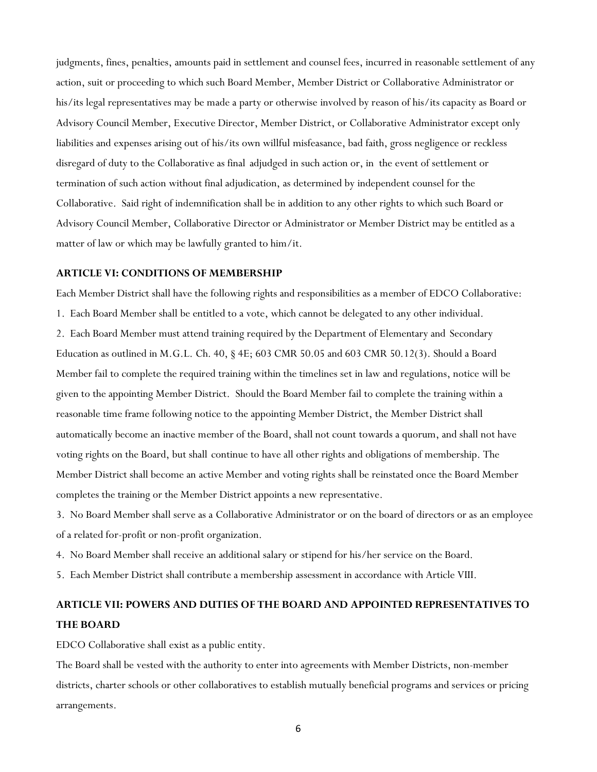judgments, fines, penalties, amounts paid in settlement and counsel fees, incurred in reasonable settlement of any action, suit or proceeding to which such Board Member, Member District or Collaborative Administrator or his/its legal representatives may be made a party or otherwise involved by reason of his/its capacity as Board or Advisory Council Member, Executive Director, Member District, or Collaborative Administrator except only liabilities and expenses arising out of his/its own willful misfeasance, bad faith, gross negligence or reckless disregard of duty to the Collaborative as final adjudged in such action or, in the event of settlement or termination of such action without final adjudication, as determined by independent counsel for the Collaborative. Said right of indemnification shall be in addition to any other rights to which such Board or Advisory Council Member, Collaborative Director or Administrator or Member District may be entitled as a matter of law or which may be lawfully granted to him/it.

#### **ARTICLE VI: CONDITIONS OF MEMBERSHIP**

Each Member District shall have the following rights and responsibilities as a member of EDCO Collaborative: 1. Each Board Member shall be entitled to a vote, which cannot be delegated to any other individual. 2. Each Board Member must attend training required by the Department of Elementary and Secondary Education as outlined in M.G.L. Ch. 40, § 4E; 603 CMR 50.05 and 603 CMR 50.12(3). Should a Board Member fail to complete the required training within the timelines set in law and regulations, notice will be given to the appointing Member District. Should the Board Member fail to complete the training within a reasonable time frame following notice to the appointing Member District, the Member District shall automatically become an inactive member of the Board, shall not count towards a quorum, and shall not have voting rights on the Board, but shall continue to have all other rights and obligations of membership. The Member District shall become an active Member and voting rights shall be reinstated once the Board Member completes the training or the Member District appoints a new representative.

3. No Board Member shall serve as a Collaborative Administrator or on the board of directors or as an employee of a related for-profit or non-profit organization.

4. No Board Member shall receive an additional salary or stipend for his/her service on the Board.

5. Each Member District shall contribute a membership assessment in accordance with Article VIII.

# **ARTICLE VII: POWERS AND DUTIES OF THE BOARD AND APPOINTED REPRESENTATIVES TO THE BOARD**

EDCO Collaborative shall exist as a public entity.

The Board shall be vested with the authority to enter into agreements with Member Districts, non-member districts, charter schools or other collaboratives to establish mutually beneficial programs and services or pricing arrangements.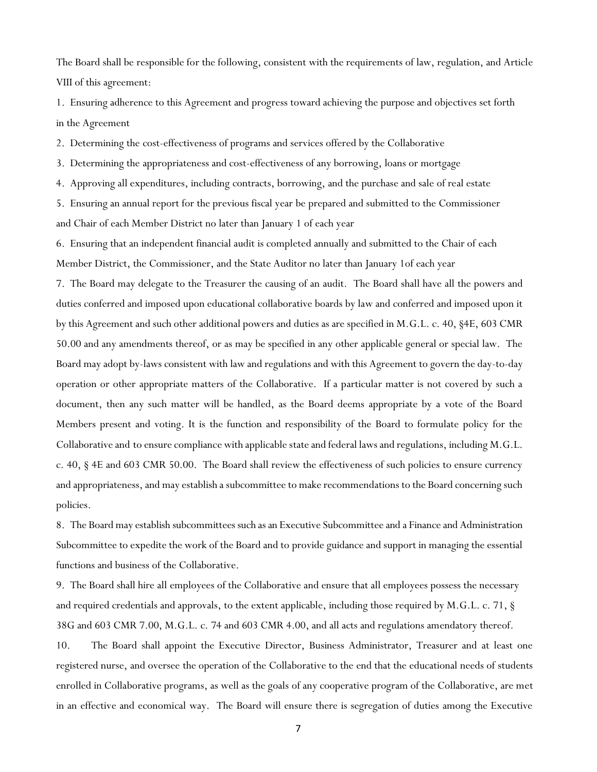The Board shall be responsible for the following, consistent with the requirements of law, regulation, and Article VIII of this agreement:

1. Ensuring adherence to this Agreement and progress toward achieving the purpose and objectives set forth in the Agreement

2. Determining the cost-effectiveness of programs and services offered by the Collaborative

3. Determining the appropriateness and cost-effectiveness of any borrowing, loans or mortgage

4. Approving all expenditures, including contracts, borrowing, and the purchase and sale of real estate

5. Ensuring an annual report for the previous fiscal year be prepared and submitted to the Commissioner and Chair of each Member District no later than January 1 of each year

6. Ensuring that an independent financial audit is completed annually and submitted to the Chair of each Member District, the Commissioner, and the State Auditor no later than January 1of each year

7. The Board may delegate to the Treasurer the causing of an audit. The Board shall have all the powers and duties conferred and imposed upon educational collaborative boards by law and conferred and imposed upon it by this Agreement and such other additional powers and duties as are specified in M.G.L. c. 40, §4E, 603 CMR 50.00 and any amendments thereof, or as may be specified in any other applicable general or special law. The Board may adopt by-laws consistent with law and regulations and with this Agreement to govern the day-to-day operation or other appropriate matters of the Collaborative. If a particular matter is not covered by such a document, then any such matter will be handled, as the Board deems appropriate by a vote of the Board Members present and voting. It is the function and responsibility of the Board to formulate policy for the Collaborative and to ensure compliance with applicable state and federal laws and regulations, including M.G.L. c. 40, § 4E and 603 CMR 50.00. The Board shall review the effectiveness of such policies to ensure currency and appropriateness, and may establish a subcommittee to make recommendations to the Board concerning such policies.

8. The Board may establish subcommittees such as an Executive Subcommittee and a Finance and Administration Subcommittee to expedite the work of the Board and to provide guidance and support in managing the essential functions and business of the Collaborative.

9. The Board shall hire all employees of the Collaborative and ensure that all employees possess the necessary and required credentials and approvals, to the extent applicable, including those required by M.G.L. c. 71, § 38G and 603 CMR 7.00, M.G.L. c. 74 and 603 CMR 4.00, and all acts and regulations amendatory thereof.

10. The Board shall appoint the Executive Director, Business Administrator, Treasurer and at least one registered nurse, and oversee the operation of the Collaborative to the end that the educational needs of students enrolled in Collaborative programs, as well as the goals of any cooperative program of the Collaborative, are met in an effective and economical way. The Board will ensure there is segregation of duties among the Executive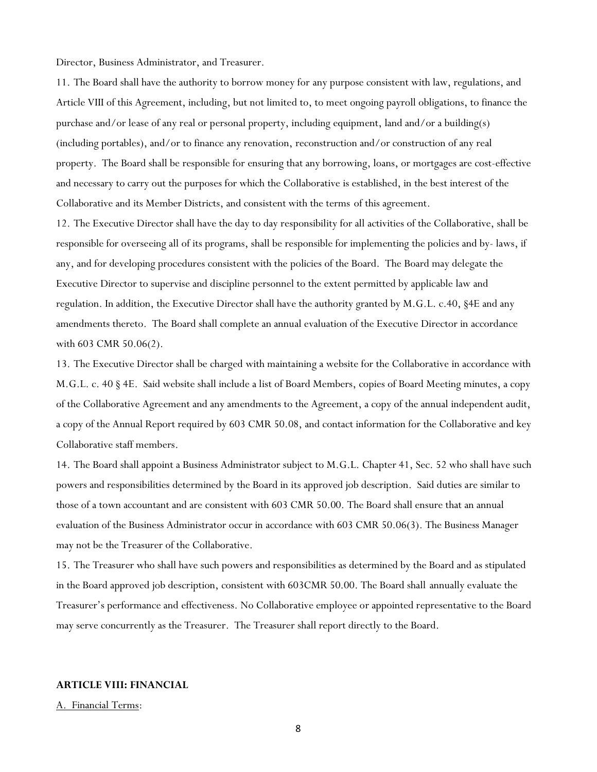Director, Business Administrator, and Treasurer.

11. The Board shall have the authority to borrow money for any purpose consistent with law, regulations, and Article VIII of this Agreement, including, but not limited to, to meet ongoing payroll obligations, to finance the purchase and/or lease of any real or personal property, including equipment, land and/or a building(s) (including portables), and/or to finance any renovation, reconstruction and/or construction of any real property. The Board shall be responsible for ensuring that any borrowing, loans, or mortgages are cost-effective and necessary to carry out the purposes for which the Collaborative is established, in the best interest of the Collaborative and its Member Districts, and consistent with the terms of this agreement.

12. The Executive Director shall have the day to day responsibility for all activities of the Collaborative, shall be responsible for overseeing all of its programs, shall be responsible for implementing the policies and by- laws, if any, and for developing procedures consistent with the policies of the Board. The Board may delegate the Executive Director to supervise and discipline personnel to the extent permitted by applicable law and regulation. In addition, the Executive Director shall have the authority granted by M.G.L. c.40, §4E and any amendments thereto. The Board shall complete an annual evaluation of the Executive Director in accordance with 603 CMR 50.06(2).

13. The Executive Director shall be charged with maintaining a website for the Collaborative in accordance with M.G.L. c. 40 § 4E. Said website shall include a list of Board Members, copies of Board Meeting minutes, a copy of the Collaborative Agreement and any amendments to the Agreement, a copy of the annual independent audit, a copy of the Annual Report required by 603 CMR 50.08, and contact information for the Collaborative and key Collaborative staff members.

14. The Board shall appoint a Business Administrator subject to M.G.L. Chapter 41, Sec. 52 who shall have such powers and responsibilities determined by the Board in its approved job description. Said duties are similar to those of a town accountant and are consistent with 603 CMR 50.00. The Board shall ensure that an annual evaluation of the Business Administrator occur in accordance with 603 CMR 50.06(3). The Business Manager may not be the Treasurer of the Collaborative.

15. The Treasurer who shall have such powers and responsibilities as determined by the Board and as stipulated in the Board approved job description, consistent with 603CMR 50.00. The Board shall annually evaluate the Treasurer's performance and effectiveness. No Collaborative employee or appointed representative to the Board may serve concurrently as the Treasurer. The Treasurer shall report directly to the Board.

# **ARTICLE VIII: FINANCIAL**

#### A. Financial Terms: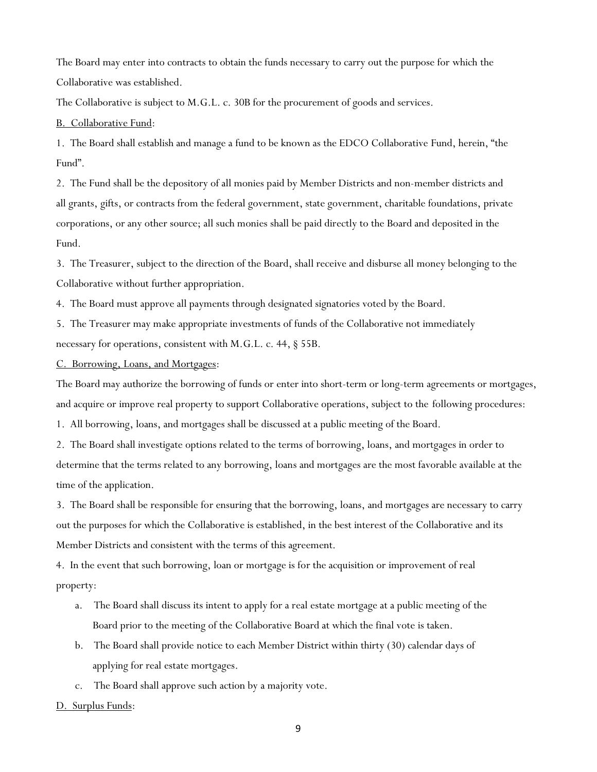The Board may enter into contracts to obtain the funds necessary to carry out the purpose for which the Collaborative was established.

The Collaborative is subject to M.G.L. c. 30B for the procurement of goods and services.

B. Collaborative Fund:

1. The Board shall establish and manage a fund to be known as the EDCO Collaborative Fund, herein, "the Fund".

2. The Fund shall be the depository of all monies paid by Member Districts and non-member districts and all grants, gifts, or contracts from the federal government, state government, charitable foundations, private corporations, or any other source; all such monies shall be paid directly to the Board and deposited in the Fund.

3. The Treasurer, subject to the direction of the Board, shall receive and disburse all money belonging to the Collaborative without further appropriation.

4. The Board must approve all payments through designated signatories voted by the Board.

5. The Treasurer may make appropriate investments of funds of the Collaborative not immediately necessary for operations, consistent with M.G.L. c. 44, § 55B.

C. Borrowing, Loans, and Mortgages:

The Board may authorize the borrowing of funds or enter into short-term or long-term agreements or mortgages, and acquire or improve real property to support Collaborative operations, subject to the following procedures:

1. All borrowing, loans, and mortgages shall be discussed at a public meeting of the Board.

2. The Board shall investigate options related to the terms of borrowing, loans, and mortgages in order to determine that the terms related to any borrowing, loans and mortgages are the most favorable available at the time of the application.

3. The Board shall be responsible for ensuring that the borrowing, loans, and mortgages are necessary to carry out the purposes for which the Collaborative is established, in the best interest of the Collaborative and its Member Districts and consistent with the terms of this agreement.

4. In the event that such borrowing, loan or mortgage is for the acquisition or improvement of real property:

- The Board shall discuss its intent to apply for a real estate mortgage at a public meeting of the Board prior to the meeting of the Collaborative Board at which the final vote is taken.
- b. The Board shall provide notice to each Member District within thirty (30) calendar days of applying for real estate mortgages.
- c. The Board shall approve such action by a majority vote.

D. Surplus Funds: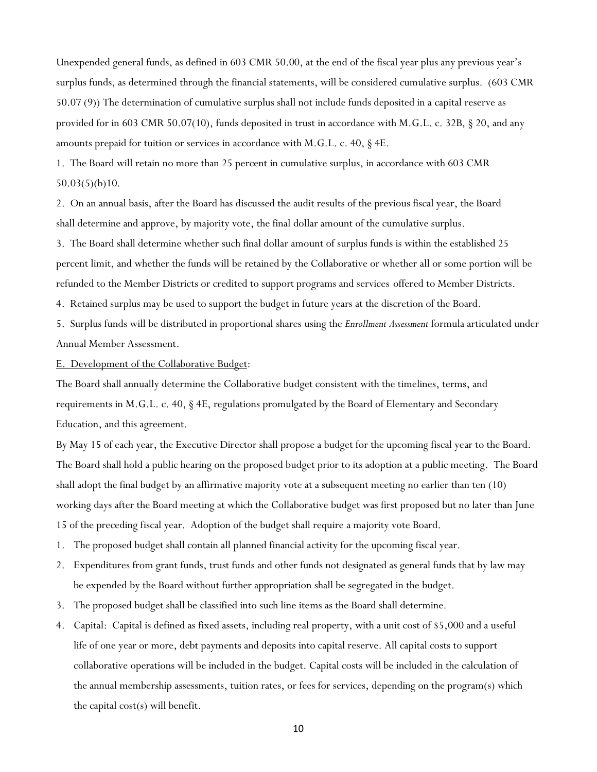Unexpended general funds, as defined in 603 CMR 50.00, at the end of the fiscal year plus any previous year's surplus funds, as determined through the financial statements, will be considered cumulative surplus. (603 CMR 50.07 (9)) The determination of cumulative surplus shall not include funds deposited in a capital reserve as provided for in 603 CMR 50.07(10), funds deposited in trust in accordance with M.G.L. c. 32B, § 20, and any amounts prepaid for tuition or services in accordance with M.G.L. c. 40, § 4E.

1. The Board will retain no more than 25 percent in cumulative surplus, in accordance with 603 CMR 50.03(5)(b)10.

2. On an annual basis, after the Board has discussed the audit results of the previous fiscal year, the Board shall determine and approve, by majority vote, the final dollar amount of the cumulative surplus.

3. The Board shall determine whether such final dollar amount of surplus funds is within the established 25 percent limit, and whether the funds will be retained by the Collaborative or whether all or some portion will be refunded to the Member Districts or credited to support programs and services offered to Member Districts.

4. Retained surplus may be used to support the budget in future years at the discretion of the Board.

5. Surplus funds will be distributed in proportional shares using the *Enrollment Assessment* formula articulated under Annual Member Assessment.

# E. Development of the Collaborative Budget:

The Board shall annually determine the Collaborative budget consistent with the timelines, terms, and requirements in M.G.L. c. 40, § 4E, regulations promulgated by the Board of Elementary and Secondary Education, and this agreement.

By May 15 of each year, the Executive Director shall propose a budget for the upcoming fiscal year to the Board. The Board shall hold a public hearing on the proposed budget prior to its adoption at a public meeting. The Board shall adopt the final budget by an affirmative majority vote at a subsequent meeting no earlier than ten (10) working days after the Board meeting at which the Collaborative budget was first proposed but no later than June 15 of the preceding fiscal year. Adoption of the budget shall require a majority vote Board.

- 1. The proposed budget shall contain all planned financial activity for the upcoming fiscal year.
- 2. Expenditures from grant funds, trust funds and other funds not designated as general funds that by law may be expended by the Board without further appropriation shall be segregated in the budget.
- 3. The proposed budget shall be classified into such line items as the Board shall determine.
- 4. Capital: Capital is defined as fixed assets, including real property, with a unit cost of \$5,000 and a useful life of one year or more, debt payments and deposits into capital reserve. All capital costs to support collaborative operations will be included in the budget. Capital costs will be included in the calculation of the annual membership assessments, tuition rates, or fees for services, depending on the program(s) which the capital cost(s) will benefit.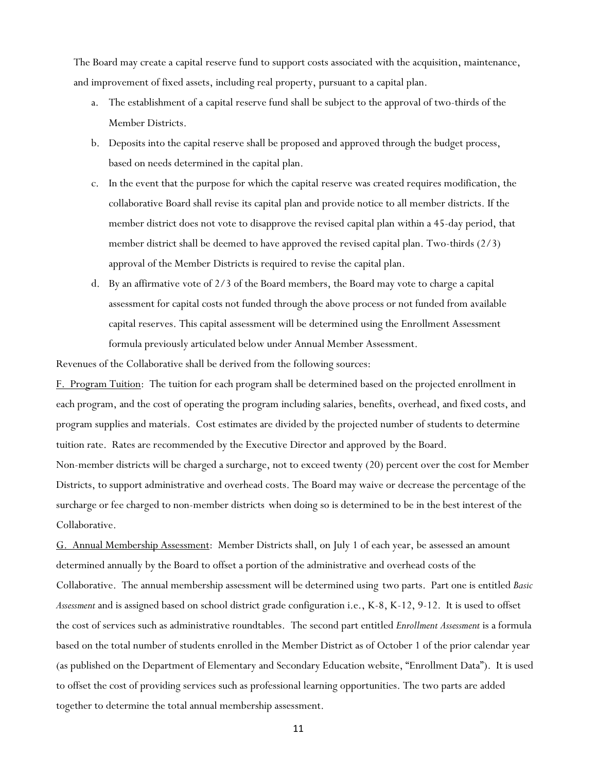The Board may create a capital reserve fund to support costs associated with the acquisition, maintenance, and improvement of fixed assets, including real property, pursuant to a capital plan.

- a. The establishment of a capital reserve fund shall be subject to the approval of two-thirds of the Member Districts.
- b. Deposits into the capital reserve shall be proposed and approved through the budget process, based on needs determined in the capital plan.
- c. In the event that the purpose for which the capital reserve was created requires modification, the collaborative Board shall revise its capital plan and provide notice to all member districts. If the member district does not vote to disapprove the revised capital plan within a 45-day period, that member district shall be deemed to have approved the revised capital plan. Two-thirds (2/3) approval of the Member Districts is required to revise the capital plan.
- d. By an affirmative vote of 2/3 of the Board members, the Board may vote to charge a capital assessment for capital costs not funded through the above process or not funded from available capital reserves. This capital assessment will be determined using the Enrollment Assessment formula previously articulated below under Annual Member Assessment.

Revenues of the Collaborative shall be derived from the following sources:

F. Program Tuition: The tuition for each program shall be determined based on the projected enrollment in each program, and the cost of operating the program including salaries, benefits, overhead, and fixed costs, and program supplies and materials. Cost estimates are divided by the projected number of students to determine tuition rate. Rates are recommended by the Executive Director and approved by the Board. Non-member districts will be charged a surcharge, not to exceed twenty (20) percent over the cost for Member Districts, to support administrative and overhead costs. The Board may waive or decrease the percentage of the surcharge or fee charged to non-member districts when doing so is determined to be in the best interest of the Collaborative.

G. Annual Membership Assessment: Member Districts shall, on July 1 of each year, be assessed an amount determined annually by the Board to offset a portion of the administrative and overhead costs of the Collaborative. The annual membership assessment will be determined using two parts. Part one is entitled *Basic Assessment* and is assigned based on school district grade configuration i.e., K-8, K-12, 9-12. It is used to offset the cost of services such as administrative roundtables. The second part entitled *Enrollment Assessment* is a formula based on the total number of students enrolled in the Member District as of October 1 of the prior calendar year (as published on the Department of Elementary and Secondary Education website, "Enrollment Data"). It is used to offset the cost of providing services such as professional learning opportunities. The two parts are added together to determine the total annual membership assessment.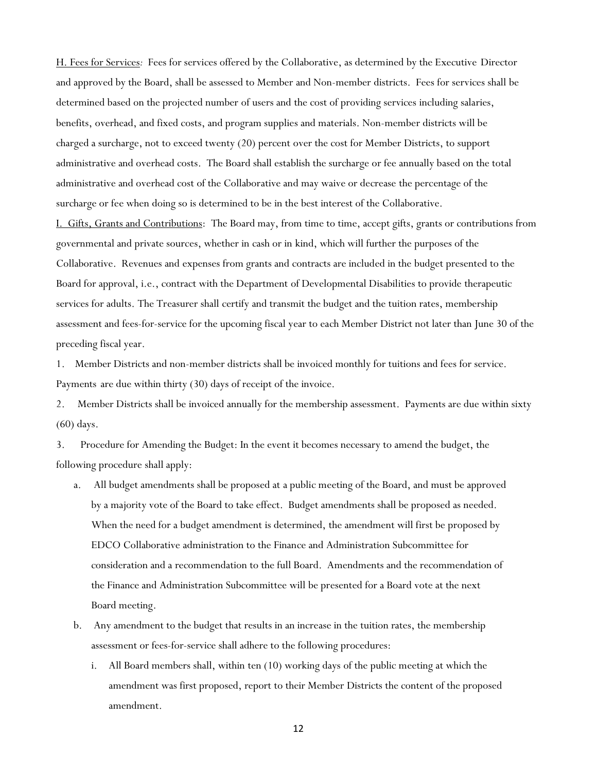H. Fees for Services*:* Fees for services offered by the Collaborative, as determined by the Executive Director and approved by the Board, shall be assessed to Member and Non-member districts. Fees for services shall be determined based on the projected number of users and the cost of providing services including salaries, benefits, overhead, and fixed costs, and program supplies and materials. Non-member districts will be charged a surcharge, not to exceed twenty (20) percent over the cost for Member Districts, to support administrative and overhead costs. The Board shall establish the surcharge or fee annually based on the total administrative and overhead cost of the Collaborative and may waive or decrease the percentage of the surcharge or fee when doing so is determined to be in the best interest of the Collaborative. I. Gifts, Grants and Contributions: The Board may, from time to time, accept gifts, grants or contributions from governmental and private sources, whether in cash or in kind, which will further the purposes of the Collaborative. Revenues and expenses from grants and contracts are included in the budget presented to the Board for approval, i.e., contract with the Department of Developmental Disabilities to provide therapeutic services for adults. The Treasurer shall certify and transmit the budget and the tuition rates, membership assessment and fees-for-service for the upcoming fiscal year to each Member District not later than June 30 of the preceding fiscal year.

1. Member Districts and non-member districts shall be invoiced monthly for tuitions and fees for service. Payments are due within thirty (30) days of receipt of the invoice.

2. Member Districts shall be invoiced annually for the membership assessment. Payments are due within sixty (60) days.

3. Procedure for Amending the Budget: In the event it becomes necessary to amend the budget, the following procedure shall apply:

- a. All budget amendments shall be proposed at a public meeting of the Board, and must be approved by a majority vote of the Board to take effect. Budget amendments shall be proposed as needed. When the need for a budget amendment is determined, the amendment will first be proposed by EDCO Collaborative administration to the Finance and Administration Subcommittee for consideration and a recommendation to the full Board. Amendments and the recommendation of the Finance and Administration Subcommittee will be presented for a Board vote at the next Board meeting.
- b. Any amendment to the budget that results in an increase in the tuition rates, the membership assessment or fees-for-service shall adhere to the following procedures:
	- i. All Board members shall, within ten (10) working days of the public meeting at which the amendment was first proposed, report to their Member Districts the content of the proposed amendment.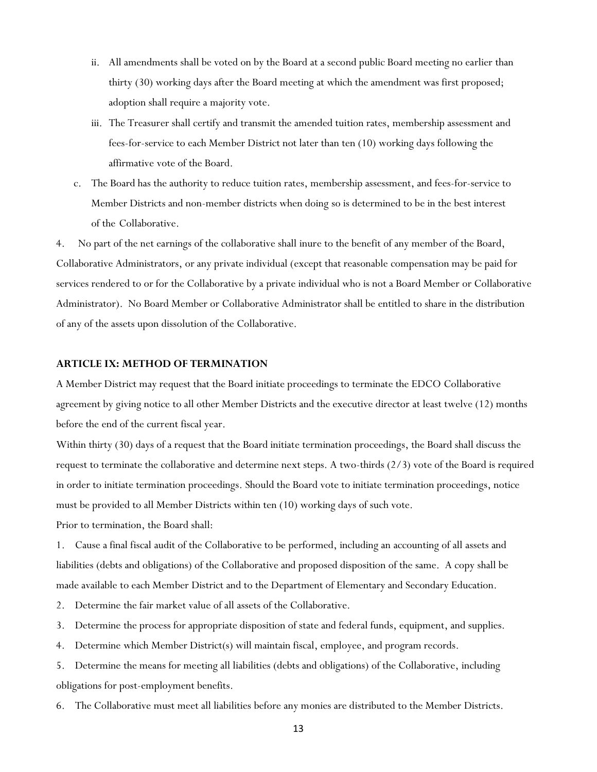- ii. All amendments shall be voted on by the Board at a second public Board meeting no earlier than thirty (30) working days after the Board meeting at which the amendment was first proposed; adoption shall require a majority vote.
- iii. The Treasurer shall certify and transmit the amended tuition rates, membership assessment and fees-for-service to each Member District not later than ten (10) working days following the affirmative vote of the Board.
- c. The Board has the authority to reduce tuition rates, membership assessment, and fees-for-service to Member Districts and non-member districts when doing so is determined to be in the best interest of the Collaborative.

4. No part of the net earnings of the collaborative shall inure to the benefit of any member of the Board, Collaborative Administrators, or any private individual (except that reasonable compensation may be paid for services rendered to or for the Collaborative by a private individual who is not a Board Member or Collaborative Administrator). No Board Member or Collaborative Administrator shall be entitled to share in the distribution of any of the assets upon dissolution of the Collaborative.

### **ARTICLE IX: METHOD OF TERMINATION**

A Member District may request that the Board initiate proceedings to terminate the EDCO Collaborative agreement by giving notice to all other Member Districts and the executive director at least twelve (12) months before the end of the current fiscal year.

Within thirty (30) days of a request that the Board initiate termination proceedings, the Board shall discuss the request to terminate the collaborative and determine next steps. A two-thirds (2/3) vote of the Board is required in order to initiate termination proceedings. Should the Board vote to initiate termination proceedings, notice must be provided to all Member Districts within ten (10) working days of such vote.

Prior to termination, the Board shall:

1. Cause a final fiscal audit of the Collaborative to be performed, including an accounting of all assets and liabilities (debts and obligations) of the Collaborative and proposed disposition of the same. A copy shall be made available to each Member District and to the Department of Elementary and Secondary Education.

- 2. Determine the fair market value of all assets of the Collaborative.
- 3. Determine the process for appropriate disposition of state and federal funds, equipment, and supplies.
- 4. Determine which Member District(s) will maintain fiscal, employee, and program records.

5. Determine the means for meeting all liabilities (debts and obligations) of the Collaborative, including obligations for post-employment benefits.

6. The Collaborative must meet all liabilities before any monies are distributed to the Member Districts.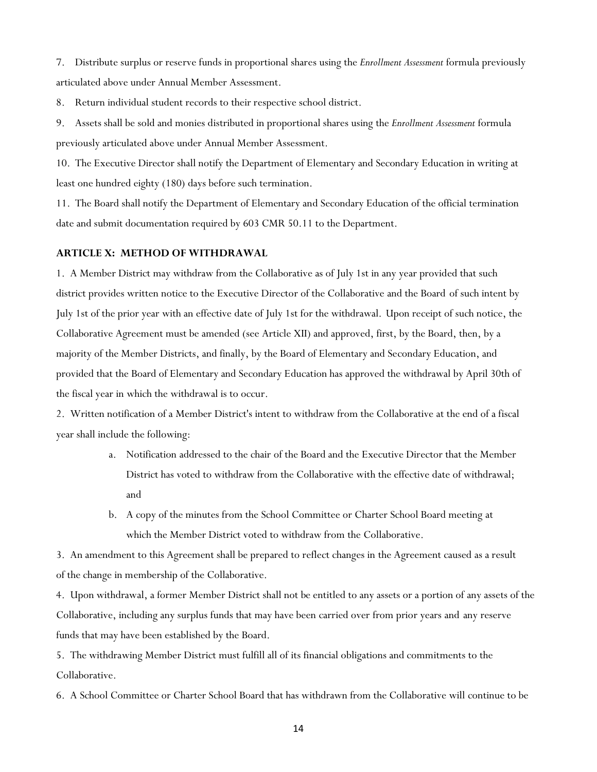7. Distribute surplus or reserve funds in proportional shares using the *Enrollment Assessment* formula previously articulated above under Annual Member Assessment.

8. Return individual student records to their respective school district.

9. Assets shall be sold and monies distributed in proportional shares using the *Enrollment Assessment* formula previously articulated above under Annual Member Assessment.

10. The Executive Director shall notify the Department of Elementary and Secondary Education in writing at least one hundred eighty (180) days before such termination.

11. The Board shall notify the Department of Elementary and Secondary Education of the official termination date and submit documentation required by 603 CMR 50.11 to the Department.

# **ARTICLE X: METHOD OF WITHDRAWAL**

1. A Member District may withdraw from the Collaborative as of July 1st in any year provided that such district provides written notice to the Executive Director of the Collaborative and the Board of such intent by July 1st of the prior year with an effective date of July 1st for the withdrawal. Upon receipt of such notice, the Collaborative Agreement must be amended (see Article XII) and approved, first, by the Board, then, by a majority of the Member Districts, and finally, by the Board of Elementary and Secondary Education, and provided that the Board of Elementary and Secondary Education has approved the withdrawal by April 30th of the fiscal year in which the withdrawal is to occur.

2. Written notification of a Member District's intent to withdraw from the Collaborative at the end of a fiscal year shall include the following:

- a. Notification addressed to the chair of the Board and the Executive Director that the Member District has voted to withdraw from the Collaborative with the effective date of withdrawal; and
- b. A copy of the minutes from the School Committee or Charter School Board meeting at which the Member District voted to withdraw from the Collaborative.

3. An amendment to this Agreement shall be prepared to reflect changes in the Agreement caused as a result of the change in membership of the Collaborative.

4. Upon withdrawal, a former Member District shall not be entitled to any assets or a portion of any assets of the Collaborative, including any surplus funds that may have been carried over from prior years and any reserve funds that may have been established by the Board.

5. The withdrawing Member District must fulfill all of its financial obligations and commitments to the Collaborative.

6. A School Committee or Charter School Board that has withdrawn from the Collaborative will continue to be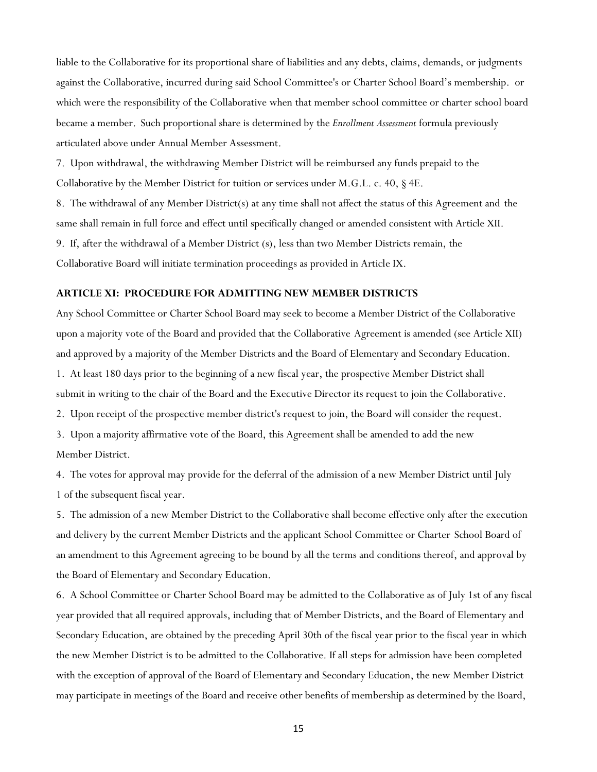liable to the Collaborative for its proportional share of liabilities and any debts, claims, demands, or judgments against the Collaborative, incurred during said School Committee's or Charter School Board's membership. or which were the responsibility of the Collaborative when that member school committee or charter school board became a member. Such proportional share is determined by the *Enrollment Assessment* formula previously articulated above under Annual Member Assessment.

7. Upon withdrawal, the withdrawing Member District will be reimbursed any funds prepaid to the Collaborative by the Member District for tuition or services under M.G.L. c. 40, § 4E.

8. The withdrawal of any Member District(s) at any time shall not affect the status of this Agreement and the same shall remain in full force and effect until specifically changed or amended consistent with Article XII. 9. If, after the withdrawal of a Member District (s), less than two Member Districts remain, the Collaborative Board will initiate termination proceedings as provided in Article IX.

#### **ARTICLE XI: PROCEDURE FOR ADMITTING NEW MEMBER DISTRICTS**

Any School Committee or Charter School Board may seek to become a Member District of the Collaborative upon a majority vote of the Board and provided that the Collaborative Agreement is amended (see Article XII) and approved by a majority of the Member Districts and the Board of Elementary and Secondary Education. 1. At least 180 days prior to the beginning of a new fiscal year, the prospective Member District shall submit in writing to the chair of the Board and the Executive Director its request to join the Collaborative.

2. Upon receipt of the prospective member district's request to join, the Board will consider the request.

3. Upon a majority affirmative vote of the Board, this Agreement shall be amended to add the new Member District.

4. The votes for approval may provide for the deferral of the admission of a new Member District until July 1 of the subsequent fiscal year.

5. The admission of a new Member District to the Collaborative shall become effective only after the execution and delivery by the current Member Districts and the applicant School Committee or Charter School Board of an amendment to this Agreement agreeing to be bound by all the terms and conditions thereof, and approval by the Board of Elementary and Secondary Education.

6. A School Committee or Charter School Board may be admitted to the Collaborative as of July 1st of any fiscal year provided that all required approvals, including that of Member Districts, and the Board of Elementary and Secondary Education, are obtained by the preceding April 30th of the fiscal year prior to the fiscal year in which the new Member District is to be admitted to the Collaborative. If all steps for admission have been completed with the exception of approval of the Board of Elementary and Secondary Education, the new Member District may participate in meetings of the Board and receive other benefits of membership as determined by the Board,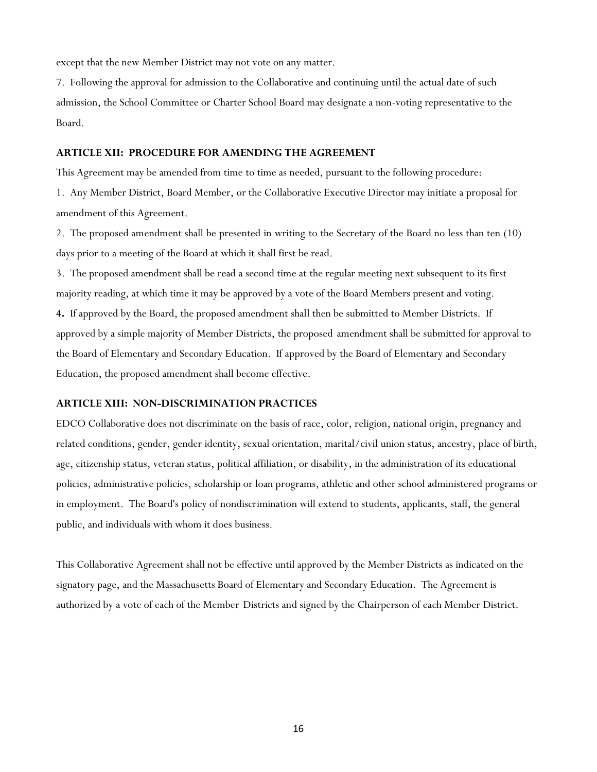except that the new Member District may not vote on any matter.

7. Following the approval for admission to the Collaborative and continuing until the actual date of such admission, the School Committee or Charter School Board may designate a non-voting representative to the Board.

### **ARTICLE XII: PROCEDURE FOR AMENDING THE AGREEMENT**

This Agreement may be amended from time to time as needed, pursuant to the following procedure: 1. Any Member District, Board Member, or the Collaborative Executive Director may initiate a proposal for amendment of this Agreement.

2. The proposed amendment shall be presented in writing to the Secretary of the Board no less than ten (10) days prior to a meeting of the Board at which it shall first be read.

3. The proposed amendment shall be read a second time at the regular meeting next subsequent to its first majority reading, at which time it may be approved by a vote of the Board Members present and voting. **4.** If approved by the Board, the proposed amendment shall then be submitted to Member Districts. If approved by a simple majority of Member Districts, the proposed amendment shall be submitted for approval to the Board of Elementary and Secondary Education. If approved by the Board of Elementary and Secondary Education, the proposed amendment shall become effective.

#### **ARTICLE XIII: NON-DISCRIMINATION PRACTICES**

EDCO Collaborative does not discriminate on the basis of race, color, religion, national origin, pregnancy and related conditions, gender, gender identity, sexual orientation, marital/civil union status, ancestry, place of birth, age, citizenship status, veteran status, political affiliation, or disability, in the administration of its educational policies, administrative policies, scholarship or loan programs, athletic and other school administered programs or in employment. The Board's policy of nondiscrimination will extend to students, applicants, staff, the general public, and individuals with whom it does business.

This Collaborative Agreement shall not be effective until approved by the Member Districts as indicated on the signatory page, and the Massachusetts Board of Elementary and Secondary Education. The Agreement is authorized by a vote of each of the Member Districts and signed by the Chairperson of each Member District.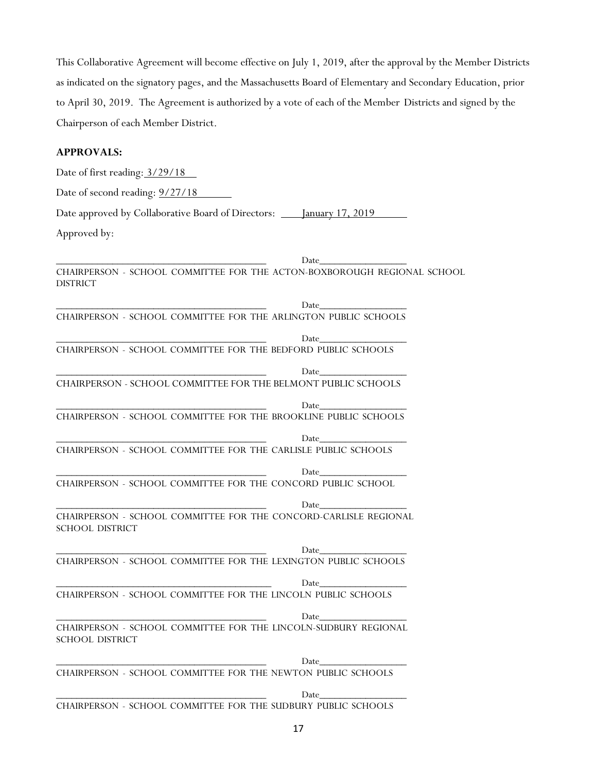This Collaborative Agreement will become effective on July 1, 2019, after the approval by the Member Districts as indicated on the signatory pages, and the Massachusetts Board of Elementary and Secondary Education, prior to April 30, 2019. The Agreement is authorized by a vote of each of the Member Districts and signed by the Chairperson of each Member District.

# **APPROVALS:**

Date of first reading:  $3/29/18$ Date of second reading:  $\frac{9}{27}{18}$ Date approved by Collaborative Board of Directors: \_\_\_\_ January 17, 2019 Approved by:

\_\_\_\_\_\_\_\_\_\_\_\_\_\_\_\_\_\_\_\_\_\_\_\_\_\_\_\_\_\_\_\_\_\_\_\_\_\_\_\_\_ Date\_\_\_\_\_\_\_\_\_\_\_\_\_\_\_\_\_ CHAIRPERSON - SCHOOL COMMITTEE FOR THE ACTON-BOXBOROUGH REGIONAL SCHOOL DISTRICT \_\_\_\_\_\_\_\_\_\_\_\_\_\_\_\_\_\_\_\_\_\_\_\_\_\_\_\_\_\_\_\_\_\_\_\_\_\_\_\_\_ Date\_\_\_\_\_\_\_\_\_\_\_\_\_\_\_\_\_ CHAIRPERSON - SCHOOL COMMITTEE FOR THE ARLINGTON PUBLIC SCHOOLS \_\_\_\_\_\_\_\_\_\_\_\_\_\_\_\_\_\_\_\_\_\_\_\_\_\_\_\_\_\_\_\_\_\_\_\_\_\_\_\_\_ Date\_\_\_\_\_\_\_\_\_\_\_\_\_\_\_\_\_ CHAIRPERSON - SCHOOL COMMITTEE FOR THE BEDFORD PUBLIC SCHOOLS \_\_\_\_\_\_\_\_\_\_\_\_\_\_\_\_\_\_\_\_\_\_\_\_\_\_\_\_\_\_\_\_\_\_\_\_\_\_\_\_\_ Date\_\_\_\_\_\_\_\_\_\_\_\_\_\_\_\_\_ CHAIRPERSON - SCHOOL COMMITTEE FOR THE BELMONT PUBLIC SCHOOLS \_\_\_\_\_\_\_\_\_\_\_\_\_\_\_\_\_\_\_\_\_\_\_\_\_\_\_\_\_\_\_\_\_\_\_\_\_\_\_\_\_ Date\_\_\_\_\_\_\_\_\_\_\_\_\_\_\_\_\_ CHAIRPERSON - SCHOOL COMMITTEE FOR THE BROOKLINE PUBLIC SCHOOLS \_\_\_\_\_\_\_\_\_\_\_\_\_\_\_\_\_\_\_\_\_\_\_\_\_\_\_\_\_\_\_\_\_\_\_\_\_\_\_\_\_ Date\_\_\_\_\_\_\_\_\_\_\_\_\_\_\_\_\_ CHAIRPERSON - SCHOOL COMMITTEE FOR THE CARLISLE PUBLIC SCHOOLS \_\_\_\_\_\_\_\_\_\_\_\_\_\_\_\_\_\_\_\_\_\_\_\_\_\_\_\_\_\_\_\_\_\_\_\_\_\_\_\_\_ Date\_\_\_\_\_\_\_\_\_\_\_\_\_\_\_\_\_ CHAIRPERSON - SCHOOL COMMITTEE FOR THE CONCORD PUBLIC SCHOOL \_\_\_\_\_\_\_\_\_\_\_\_\_\_\_\_\_\_\_\_\_\_\_\_\_\_\_\_\_\_\_\_\_\_\_\_\_\_\_\_\_ Date\_\_\_\_\_\_\_\_\_\_\_\_\_\_\_\_\_ CHAIRPERSON - SCHOOL COMMITTEE FOR THE CONCORD-CARLISLE REGIONAL SCHOOL DISTRICT \_\_\_\_\_\_\_\_\_\_\_\_\_\_\_\_\_\_\_\_\_\_\_\_\_\_\_\_\_\_\_\_\_\_\_\_\_\_\_\_\_ Date\_\_\_\_\_\_\_\_\_\_\_\_\_\_\_\_\_ CHAIRPERSON - SCHOOL COMMITTEE FOR THE LEXINGTON PUBLIC SCHOOLS \_\_\_\_\_\_\_\_\_\_\_\_\_\_\_\_\_\_\_\_\_\_\_\_\_\_\_\_\_\_\_\_\_\_\_\_\_\_\_\_\_\_ Date\_\_\_\_\_\_\_\_\_\_\_\_\_\_\_\_\_ CHAIRPERSON - SCHOOL COMMITTEE FOR THE LINCOLN PUBLIC SCHOOLS \_\_\_\_\_\_\_\_\_\_\_\_\_\_\_\_\_\_\_\_\_\_\_\_\_\_\_\_\_\_\_\_\_\_\_\_\_\_\_\_\_ Date\_\_\_\_\_\_\_\_\_\_\_\_\_\_\_\_\_ CHAIRPERSON - SCHOOL COMMITTEE FOR THE LINCOLN-SUDBURY REGIONAL SCHOOL DISTRICT \_\_\_\_\_\_\_\_\_\_\_\_\_\_\_\_\_\_\_\_\_\_\_\_\_\_\_\_\_\_\_\_\_\_\_\_\_\_\_\_\_ Date\_\_\_\_\_\_\_\_\_\_\_\_\_\_\_\_\_ CHAIRPERSON - SCHOOL COMMITTEE FOR THE NEWTON PUBLIC SCHOOLS \_\_\_\_\_\_\_\_\_\_\_\_\_\_\_\_\_\_\_\_\_\_\_\_\_\_\_\_\_\_\_\_\_\_\_\_\_\_\_\_\_ Date\_\_\_\_\_\_\_\_\_\_\_\_\_\_\_\_\_

CHAIRPERSON - SCHOOL COMMITTEE FOR THE SUDBURY PUBLIC SCHOOLS